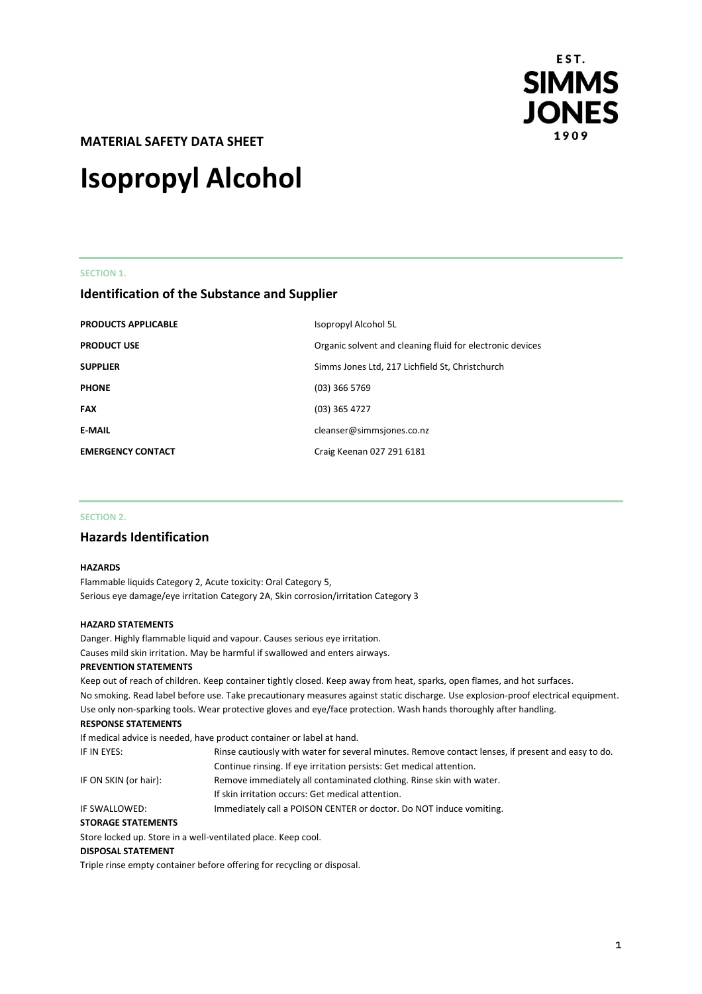

**MATERIAL SAFETY DATA SHEET** 

# **Isopropyl Alcohol**

# **SECTION 1.**

# **Identification of the Substance and Supplier**

| Organic solvent and cleaning fluid for electronic devices<br>Simms Jones Ltd, 217 Lichfield St, Christchurch<br>$(03)$ 366 5769<br>$(03)$ 365 4727<br>cleanser@simmsjones.co.nz<br>Craig Keenan 027 291 6181 | <b>PRODUCTS APPLICABLE</b> | Isopropyl Alcohol 5L |
|--------------------------------------------------------------------------------------------------------------------------------------------------------------------------------------------------------------|----------------------------|----------------------|
|                                                                                                                                                                                                              | <b>PRODUCT USE</b>         |                      |
|                                                                                                                                                                                                              | <b>SUPPLIER</b>            |                      |
|                                                                                                                                                                                                              | <b>PHONE</b>               |                      |
|                                                                                                                                                                                                              | <b>FAX</b>                 |                      |
|                                                                                                                                                                                                              | <b>E-MAIL</b>              |                      |
|                                                                                                                                                                                                              | <b>EMERGENCY CONTACT</b>   |                      |

# **SECTION 2.**

# **Hazards Identification**

# **HAZARDS**

Flammable liquids Category 2, Acute toxicity: Oral Category 5, Serious eye damage/eye irritation Category 2A, Skin corrosion/irritation Category 3

# **HAZARD STATEMENTS**

Danger. Highly flammable liquid and vapour. Causes serious eye irritation. Causes mild skin irritation. May be harmful if swallowed and enters airways.

#### **PREVENTION STATEMENTS**

Keep out of reach of children. Keep container tightly closed. Keep away from heat, sparks, open flames, and hot surfaces. No smoking. Read label before use. Take precautionary measures against static discharge. Use explosion-proof electrical equipment. Use only non-sparking tools. Wear protective gloves and eye/face protection. Wash hands thoroughly after handling.

# **RESPONSE STATEMENTS**

|                           | If medical advice is needed, have product container or label at hand.                              |
|---------------------------|----------------------------------------------------------------------------------------------------|
| IF IN EYES:               | Rinse cautiously with water for several minutes. Remove contact lenses, if present and easy to do. |
|                           | Continue rinsing. If eye irritation persists: Get medical attention.                               |
| IF ON SKIN (or hair):     | Remove immediately all contaminated clothing. Rinse skin with water.                               |
|                           | If skin irritation occurs: Get medical attention.                                                  |
| IF SWALLOWED:             | Immediately call a POISON CENTER or doctor. Do NOT induce vomiting.                                |
| <b>STORAGE STATEMENTS</b> |                                                                                                    |

Store locked up. Store in a well-ventilated place. Keep cool.

#### **DISPOSAL STATEMENT**

Triple rinse empty container before offering for recycling or disposal.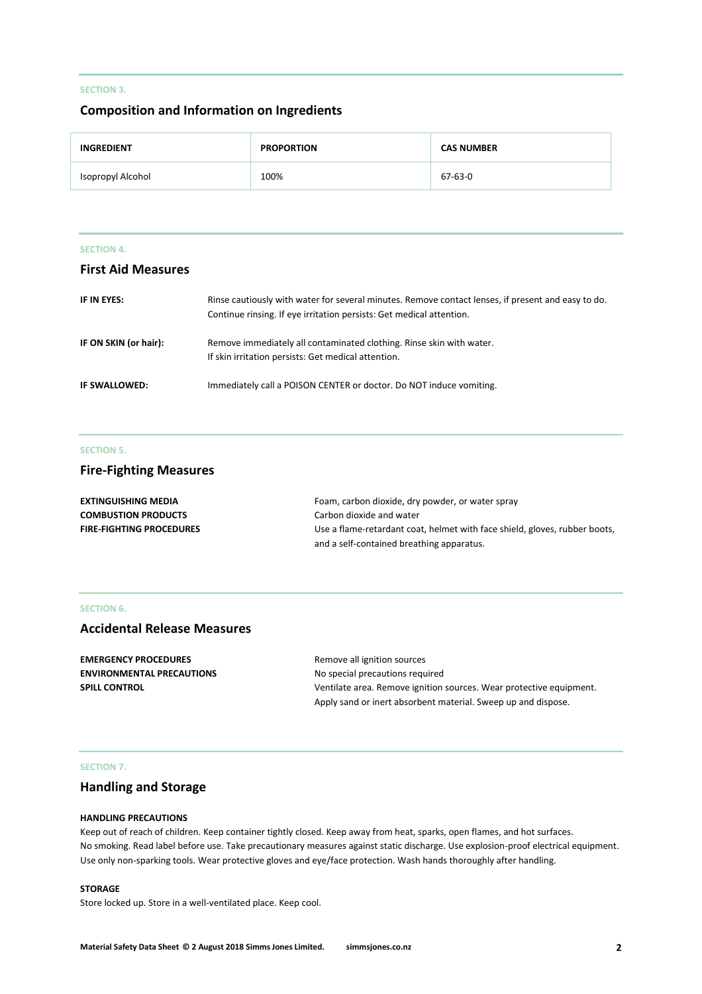# **SECTION 3.**

# **Composition and Information on Ingredients**

| <b>INGREDIENT</b> | <b>PROPORTION</b> | <b>CAS NUMBER</b> |
|-------------------|-------------------|-------------------|
| Isopropyl Alcohol | 100%              | 67-63-0           |

#### **SECTION 4.**

# **First Aid Measures**

| IF IN EYES:           | Rinse cautiously with water for several minutes. Remove contact lenses, if present and easy to do.<br>Continue rinsing. If eye irritation persists: Get medical attention. |
|-----------------------|----------------------------------------------------------------------------------------------------------------------------------------------------------------------------|
| IF ON SKIN (or hair): | Remove immediately all contaminated clothing. Rinse skin with water.<br>If skin irritation persists: Get medical attention.                                                |
| IF SWALLOWED:         | Immediately call a POISON CENTER or doctor. Do NOT induce vomiting.                                                                                                        |

# **SECTION 5.**

# **Fire-Fighting Measures**

| EXTINGUISHING MEDIA             | Foam, carbon dioxide, dry powder, or water spray                           |
|---------------------------------|----------------------------------------------------------------------------|
| <b>COMBUSTION PRODUCTS</b>      | Carbon dioxide and water                                                   |
| <b>FIRE-FIGHTING PROCEDURES</b> | Use a flame-retardant coat, helmet with face shield, gloves, rubber boots, |
|                                 | and a self-contained breathing apparatus.                                  |

# **SECTION 6.**

# **Accidental Release Measures**

| <b>EMERGENCY PROCEDURES</b>      | Remove all ignition sources                                         |
|----------------------------------|---------------------------------------------------------------------|
| <b>ENVIRONMENTAL PRECAUTIONS</b> | No special precautions required                                     |
| <b>SPILL CONTROL</b>             | Ventilate area. Remove ignition sources. Wear protective equipment. |
|                                  | Apply sand or inert absorbent material. Sweep up and dispose.       |

#### **SECTION 7.**

# **Handling and Storage**

#### **HANDLING PRECAUTIONS**

Keep out of reach of children. Keep container tightly closed. Keep away from heat, sparks, open flames, and hot surfaces. No smoking. Read label before use. Take precautionary measures against static discharge. Use explosion-proof electrical equipment. Use only non-sparking tools. Wear protective gloves and eye/face protection. Wash hands thoroughly after handling.

# **STORAGE**

Store locked up. Store in a well-ventilated place. Keep cool.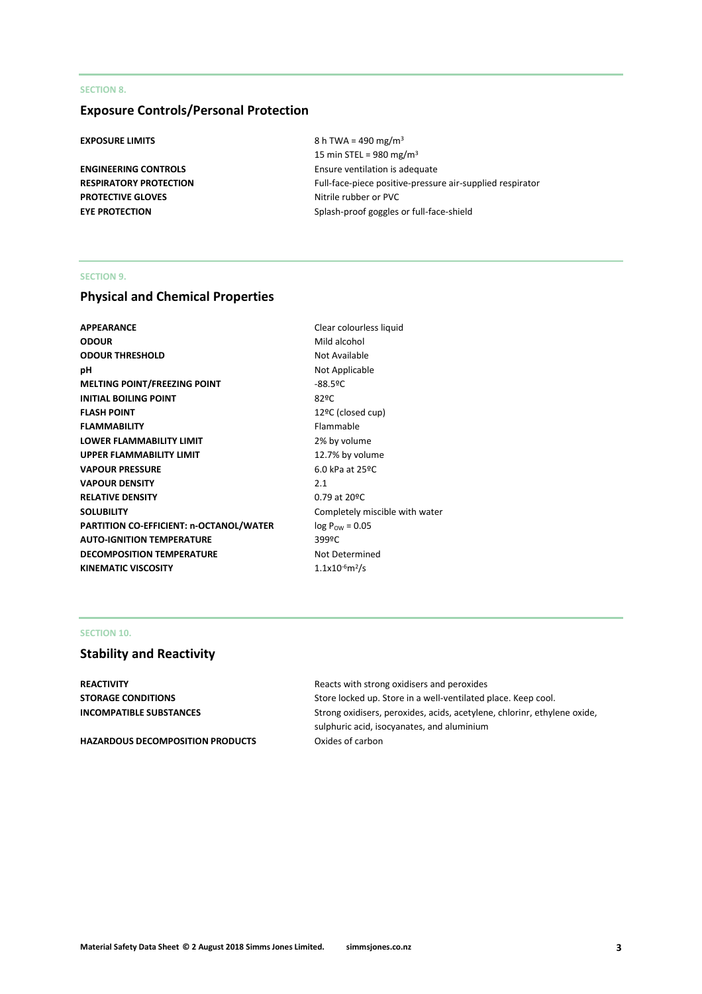# **SECTION 8.**

# **Exposure Controls/Personal Protection**

**PROTECTIVE GLOVES** Nitrile rubber or PVC

**EXPOSURE LIMITS** 8 h TWA = 490 mg/m<sup>3</sup> 15 min STEL =  $980 \text{ mg/m}^3$ **ENGINEERING CONTROLS** Ensure ventilation is adequate **RESPIRATORY PROTECTION** Full-face-piece positive-pressure air-supplied respirator **EYE PROTECTION** Splash-proof goggles or full-face-shield

# **SECTION 9.**

# **Physical and Chemical Properties**

| APPEARANCE                              | Clear colourl             |
|-----------------------------------------|---------------------------|
| <b>ODOUR</b>                            | Mild alcohol              |
| <b>ODOUR THRESHOLD</b>                  | Not Available             |
| pН                                      | Not Applicab              |
| <b>MELTING POINT/FREEZING POINT</b>     | $-88.59C$                 |
| <b>INITIAL BOILING POINT</b>            | 82ºC                      |
| <b>FLASH POINT</b>                      | 12ºC (closed              |
| <b>FLAMMABILITY</b>                     | Flammable                 |
| <b>LOWER FLAMMABILITY LIMIT</b>         | 2% by volum               |
| <b>UPPER FLAMMABILITY LIMIT</b>         | 12.7% by vol              |
| <b>VAPOUR PRESSURE</b>                  | 6.0 kPa at 25             |
| <b>VAPOUR DENSITY</b>                   | 2.1                       |
| <b>RELATIVE DENSITY</b>                 | 0.79 at 20°C              |
| <b>SOLUBILITY</b>                       | Completely r              |
| PARTITION CO-EFFICIENT: n-OCTANOL/WATER | $log P_{\text{OW}} = 0.0$ |
| <b>AUTO-IGNITION TEMPERATURE</b>        | 399ºC                     |
| <b>DECOMPOSITION TEMPERATURE</b>        | Not Determi               |
| KINEMATIC VISCOSITY                     | $1.1x10^{-6}m^2/s$        |
|                                         |                           |

**Clear colourless liquid Mild alcohol Not Available Not Applicable** 12ºC (closed cup) **Flammable** 2% by volume 12.7% by volume **6.0 kPa at 25°C RELATIVE DENSITY** 0.79 at 20ºC Completely miscible with water  $log P_{OW} = 0.05$ **Not Determined** 

# **SECTION 10.**

# **Stability and Reactivity**

**REACTIVITY REACTIVITY Reacts** with strong oxidisers and peroxides

HAZARDOUS DECOMPOSITION PRODUCTS Oxides of carbon

**STORAGE CONDITIONS** Store locked up. Store in a well-ventilated place. Keep cool. **INCOMPATIBLE SUBSTANCES** Strong oxidisers, peroxides, acids, acetylene, chlorinr, ethylene oxide, sulphuric acid, isocyanates, and aluminium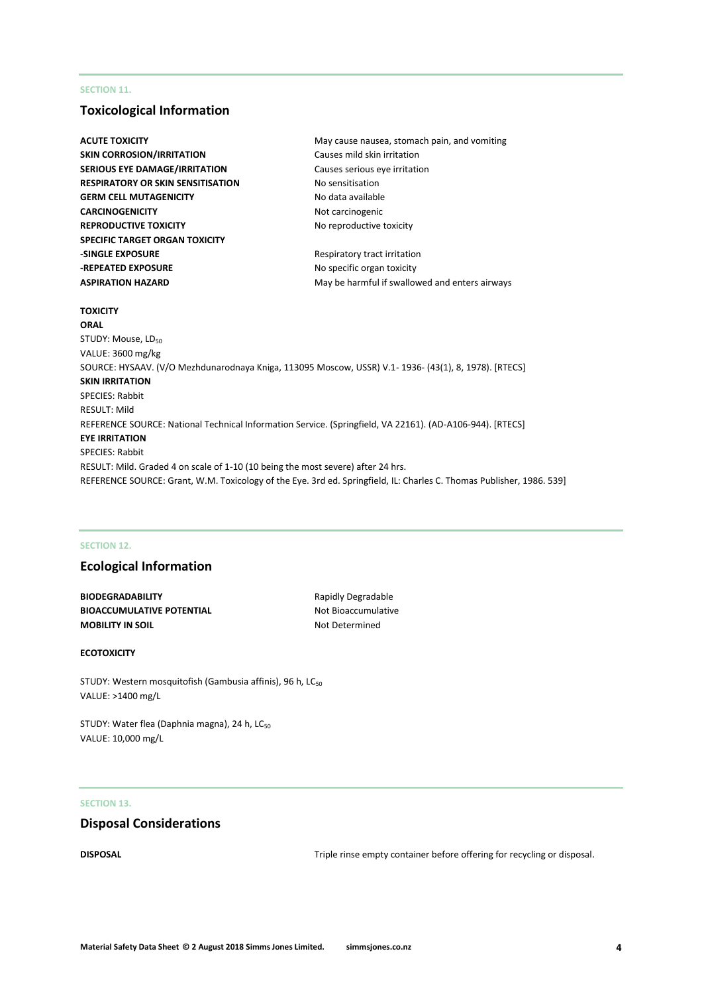# **SECTION 11.**

# **Toxicological Information**

| ACUTE TOXICITY                                                                   | May cause nausea, stomach pain, and vomiting                                                                          |
|----------------------------------------------------------------------------------|-----------------------------------------------------------------------------------------------------------------------|
| <b>SKIN CORROSION/IRRITATION</b>                                                 | Causes mild skin irritation                                                                                           |
| <b>SERIOUS EYE DAMAGE/IRRITATION</b>                                             | Causes serious eye irritation                                                                                         |
| <b>RESPIRATORY OR SKIN SENSITISATION</b>                                         | No sensitisation                                                                                                      |
| <b>GERM CELL MUTAGENICITY</b>                                                    | No data available                                                                                                     |
| <b>CARCINOGENICITY</b>                                                           | Not carcinogenic                                                                                                      |
| <b>REPRODUCTIVE TOXICITY</b>                                                     | No reproductive toxicity                                                                                              |
| <b>SPECIFIC TARGET ORGAN TOXICITY</b>                                            |                                                                                                                       |
| <b>-SINGLE EXPOSURE</b>                                                          | Respiratory tract irritation                                                                                          |
| -REPEATED EXPOSURE                                                               | No specific organ toxicity                                                                                            |
| <b>ASPIRATION HAZARD</b>                                                         | May be harmful if swallowed and enters airways                                                                        |
| <b>TOXICITY</b>                                                                  |                                                                                                                       |
| <b>ORAL</b>                                                                      |                                                                                                                       |
| STUDY: Mouse, LD <sub>50</sub>                                                   |                                                                                                                       |
| VALUE: 3600 mg/kg                                                                |                                                                                                                       |
|                                                                                  | SOURCE: HYSAAV. (V/O Mezhdunarodnaya Kniga, 113095 Moscow, USSR) V.1- 1936- (43(1), 8, 1978). [RTECS]                 |
| <b>SKIN IRRITATION</b>                                                           |                                                                                                                       |
| <b>SPECIES: Rabbit</b>                                                           |                                                                                                                       |
| <b>RESULT: Mild</b>                                                              |                                                                                                                       |
|                                                                                  | REFERENCE SOURCE: National Technical Information Service. (Springfield, VA 22161). (AD-A106-944). [RTECS]             |
| <b>EYE IRRITATION</b>                                                            |                                                                                                                       |
| <b>SPECIES: Rabbit</b>                                                           |                                                                                                                       |
| RESULT: Mild. Graded 4 on scale of 1-10 (10 being the most severe) after 24 hrs. |                                                                                                                       |
|                                                                                  | REFERENCE SOURCE: Grant, W.M. Toxicology of the Eye. 3rd ed. Springfield, IL: Charles C. Thomas Publisher, 1986. 539] |

# **SECTION 12.**

# **Ecological Information**

**BIODEGRADABILITY** Rapidly Degradable **BIOACCUMULATIVE POTENTIAL** Not Bioaccumulative **MOBILITY IN SOIL** MOBILITY IN SOIL

# **ECOTOXICITY**

STUDY: Western mosquitofish (Gambusia affinis), 96 h, LC<sub>50</sub> VALUE: >1400 mg/L

STUDY: Water flea (Daphnia magna), 24 h, LC<sub>50</sub> VALUE: 10,000 mg/L

# **SECTION 13.**

# **Disposal Considerations**

**DISPOSAL** DISPOSAL **EXECUTE:** Triple rinse empty container before offering for recycling or disposal.